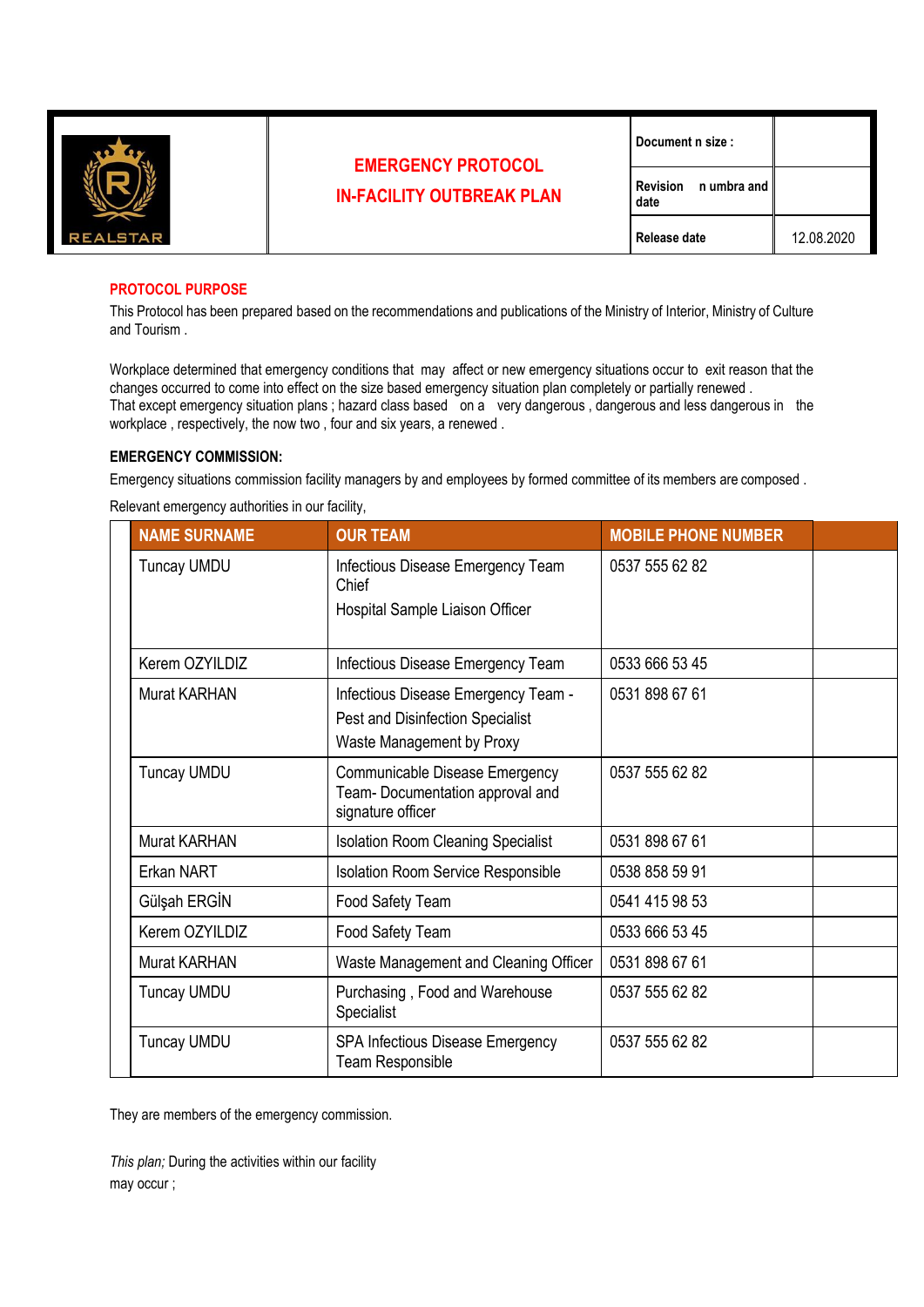

# **EMERGENCY PROTOCOL IN-FACILITY OUTBREAK PLAN**

| Document n size: |  |  |
|------------------|--|--|
|                  |  |  |

**Revision n umbra and date Release date** 12.08.2020

## **PROTOCOL PURPOSE**

This Protocol has been prepared based on the recommendations and publications of the Ministry of Interior, Ministry of Culture and Tourism .

Workplace determined that emergency conditions that may affect or new emergency situations occur to exit reason that the changes occurred to come into effect on the size based emergency situation plan completely or partially renewed . That except emergency situation plans ; hazard class based on a very dangerous, dangerous and less dangerous in the workplace , respectively, the now two , four and six years, a renewed .

### **EMERGENCY COMMISSION:**

Emergency situations commission facility managers by and employees by formed committee of its members are composed .

Relevant emergency authorities in our facility,

|                                                       | <b>NAME SURNAME</b> | <b>OUR TEAM</b>                                                                                      | <b>MOBILE PHONE NUMBER</b> |  |
|-------------------------------------------------------|---------------------|------------------------------------------------------------------------------------------------------|----------------------------|--|
|                                                       | <b>Tuncay UMDU</b>  | Infectious Disease Emergency Team<br>Chief                                                           | 0537 555 62 82             |  |
|                                                       |                     | Hospital Sample Liaison Officer                                                                      |                            |  |
|                                                       | Kerem OZYILDIZ      | Infectious Disease Emergency Team                                                                    | 0533 666 53 45             |  |
|                                                       | <b>Murat KARHAN</b> | Infectious Disease Emergency Team -<br>Pest and Disinfection Specialist<br>Waste Management by Proxy | 0531 898 67 61             |  |
| <b>Tuncay UMDU</b><br>signature officer               |                     | Communicable Disease Emergency<br>Team- Documentation approval and                                   | 0537 555 62 82             |  |
|                                                       | <b>Murat KARHAN</b> | <b>Isolation Room Cleaning Specialist</b>                                                            | 0531 898 67 61             |  |
|                                                       | Erkan NART          | <b>Isolation Room Service Responsible</b>                                                            | 0538 858 59 91             |  |
| Gülşah ERGİN<br>Kerem OZYILDIZ<br><b>Murat KARHAN</b> |                     | Food Safety Team                                                                                     | 0541 415 98 53             |  |
|                                                       |                     | Food Safety Team                                                                                     | 0533 666 53 45             |  |
|                                                       |                     | Waste Management and Cleaning Officer                                                                | 0531 898 67 61             |  |
|                                                       | <b>Tuncay UMDU</b>  | Purchasing, Food and Warehouse<br>Specialist                                                         | 0537 555 62 82             |  |
|                                                       | <b>Tuncay UMDU</b>  | <b>SPA Infectious Disease Emergency</b><br>Team Responsible                                          | 0537 555 62 82             |  |

They are members of the emergency commission.

*This plan;* During the activities within our facility may occur ;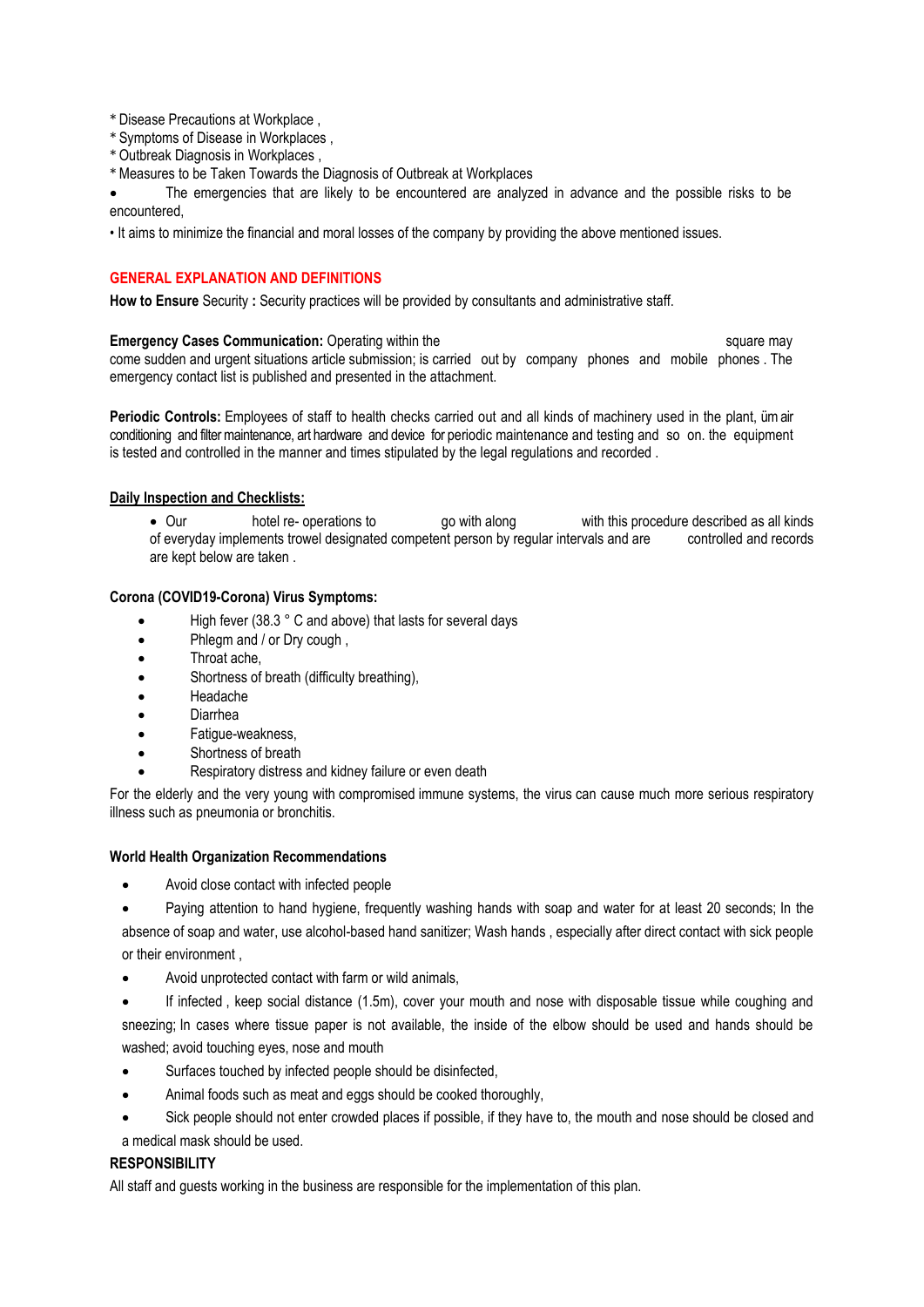- \* Disease Precautions at Workplace ,
- \* Symptoms of Disease in Workplaces ,
- \* Outbreak Diagnosis in Workplaces ,
- \* Measures to be Taken Towards the Diagnosis of Outbreak at Workplaces

The emergencies that are likely to be encountered are analyzed in advance and the possible risks to be encountered,

• It aims to minimize the financial and moral losses of the company by providing the above mentioned issues.

### **GENERAL EXPLANATION AND DEFINITIONS**

**How to Ensure** Security **:** Security practices will be provided by consultants and administrative staff.

**Emergency Cases Communication:** Operating within the square may square may come sudden and urgent situations article submission; is carried out by company phones and mobile phones . The emergency contact list is published and presented in the attachment.

**Periodic Controls:** Employees of staff to health checks carried out and all kinds of machinery used in the plant, ümair conditioning and filtermaintenance, art hardware and device for periodic maintenance and testing and so on. the equipment is tested and controlled in the manner and times stipulated by the legal regulations and recorded .

### **Daily Inspection and Checklists:**

• Our hotel re- operations to go with along with this procedure described as all kinds of everyday implements trowel designated competent person by regular intervals and are controlled and records are kept below are taken .

### **Corona (COVID19-Corona) Virus Symptoms:**

- High fever (38.3 ° C and above) that lasts for several days
- Phlegm and / or Dry cough ,
- Throat ache.
- Shortness of breath (difficulty breathing),
- Headache
- Diarrhea
- Fatigue-weakness,
- Shortness of breath
- Respiratory distress and kidney failure or even death

For the elderly and the very young with compromised immune systems, the virus can cause much more serious respiratory illness such as pneumonia or bronchitis.

#### **World Health Organization Recommendations**

• Avoid close contact with infected people

• Paying attention to hand hygiene, frequently washing hands with soap and water for at least 20 seconds; In the absence of soap and water, use alcohol-based hand sanitizer; Wash hands , especially after direct contact with sick people or their environment ,

• Avoid unprotected contact with farm or wild animals,

• If infected , keep social distance (1.5m), cover your mouth and nose with disposable tissue while coughing and sneezing; In cases where tissue paper is not available, the inside of the elbow should be used and hands should be washed; avoid touching eyes, nose and mouth

- Surfaces touched by infected people should be disinfected,
- Animal foods such as meat and eggs should be cooked thoroughly,
- Sick people should not enter crowded places if possible, if they have to, the mouth and nose should be closed and
- a medical mask should be used.

# **RESPONSIBILITY**

All staff and guests working in the business are responsible for the implementation of this plan.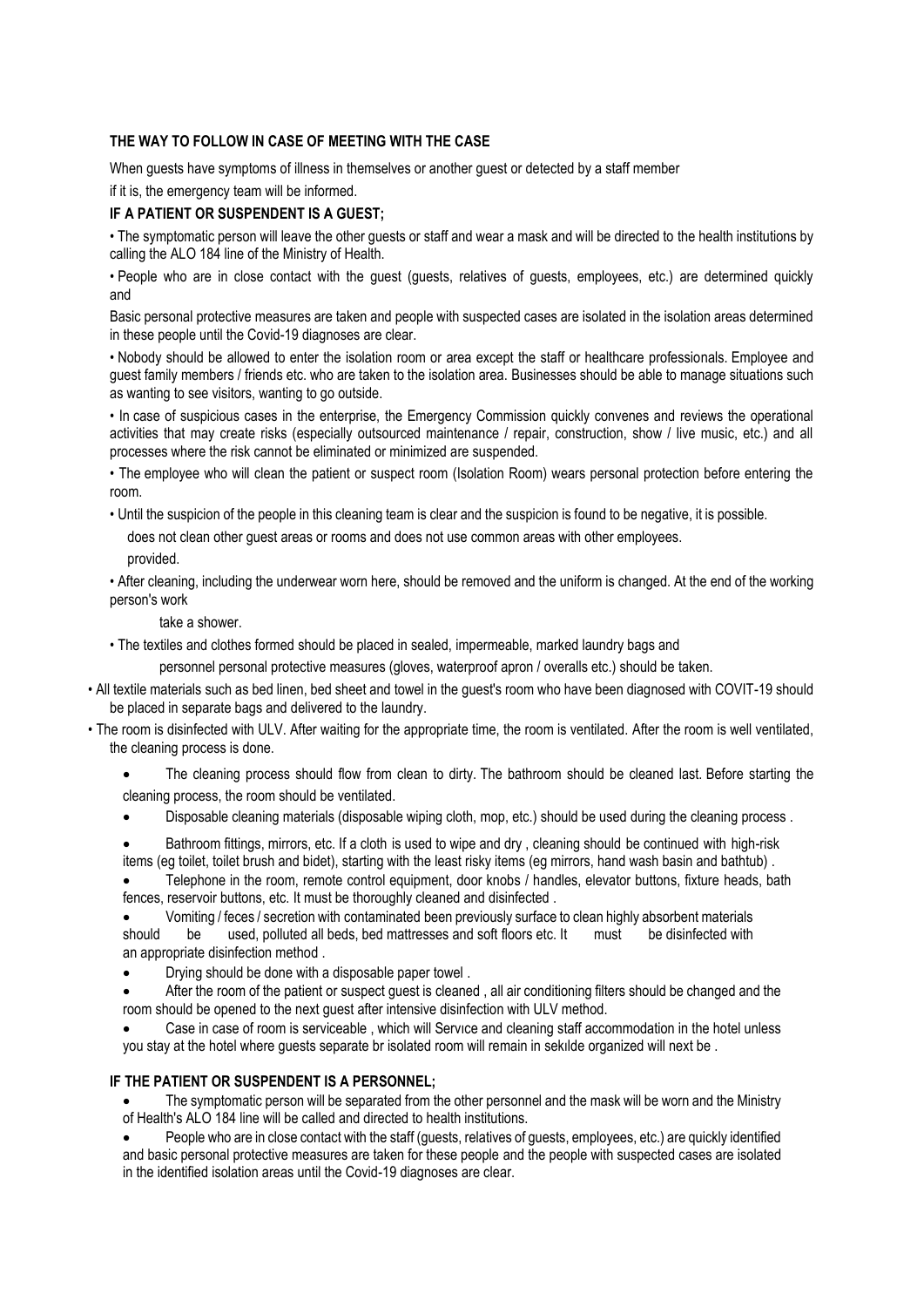### **THE WAY TO FOLLOW IN CASE OF MEETING WITH THE CASE**

When guests have symptoms of illness in themselves or another guest or detected by a staff member if it is, the emergency team will be informed.

### **IF A PATIENT OR SUSPENDENT IS A GUEST;**

• The symptomatic person will leave the other guests or staff and wear a mask and will be directed to the health institutions by calling the ALO 184 line of the Ministry of Health.

• People who are in close contact with the guest (guests, relatives of guests, employees, etc.) are determined quickly and

Basic personal protective measures are taken and people with suspected cases are isolated in the isolation areas determined in these people until the Covid-19 diagnoses are clear.

• Nobody should be allowed to enter the isolation room or area except the staff or healthcare professionals. Employee and guest family members / friends etc. who are taken to the isolation area. Businesses should be able to manage situations such as wanting to see visitors, wanting to go outside.

• In case of suspicious cases in the enterprise, the Emergency Commission quickly convenes and reviews the operational activities that may create risks (especially outsourced maintenance / repair, construction, show / live music, etc.) and all processes where the risk cannot be eliminated or minimized are suspended.

• The employee who will clean the patient or suspect room (Isolation Room) wears personal protection before entering the room.

• Until the suspicion of the people in this cleaning team is clear and the suspicion is found to be negative, it is possible.

does not clean other guest areas or rooms and does not use common areas with other employees.

provided.

• After cleaning, including the underwear worn here, should be removed and the uniform is changed. At the end of the working person's work

#### take a shower.

• The textiles and clothes formed should be placed in sealed, impermeable, marked laundry bags and

personnel personal protective measures (gloves, waterproof apron / overalls etc.) should be taken.

- All textile materials such as bed linen, bed sheet and towel in the guest's room who have been diagnosed with COVIT-19 should be placed in separate bags and delivered to the laundry.
- The room is disinfected with ULV. After waiting for the appropriate time, the room is ventilated. After the room is well ventilated, the cleaning process is done.
	- The cleaning process should flow from clean to dirty. The bathroom should be cleaned last. Before starting the cleaning process, the room should be ventilated.
	- Disposable cleaning materials (disposable wiping cloth, mop, etc.) should be used during the cleaning process .
	- Bathroom fittings, mirrors, etc. If a cloth is used to wipe and dry , cleaning should be continued with high-risk items (eg toilet, toilet brush and bidet), starting with the least risky items (eg mirrors, hand wash basin and bathtub) .

• Telephone in the room, remote control equipment, door knobs / handles, elevator buttons, fixture heads, bath fences, reservoir buttons, etc. It must be thoroughly cleaned and disinfected .

- Vomiting / feces / secretion with contaminated been previously surface to clean highly absorbent materials should be used, polluted all beds, bed mattresses and soft floors etc. It must be disinfected with an appropriate disinfection method .
- Drying should be done with a disposable paper towel .
- After the room of the patient or suspect guest is cleaned , all air conditioning filters should be changed and the room should be opened to the next guest after intensive disinfection with ULV method.

• Case in case of room is serviceable , which will Servıce and cleaning staff accommodation in the hotel unless you stay at the hotel where guests separate br isolated room will remain in sekılde organized will next be .

#### **IF THE PATIENT OR SUSPENDENT IS A PERSONNEL;**

The symptomatic person will be separated from the other personnel and the mask will be worn and the Ministry of Health's ALO 184 line will be called and directed to health institutions.

• People who are in close contact with the staff (guests, relatives of guests, employees, etc.) are quickly identified and basic personal protective measures are taken for these people and the people with suspected cases are isolated in the identified isolation areas until the Covid-19 diagnoses are clear.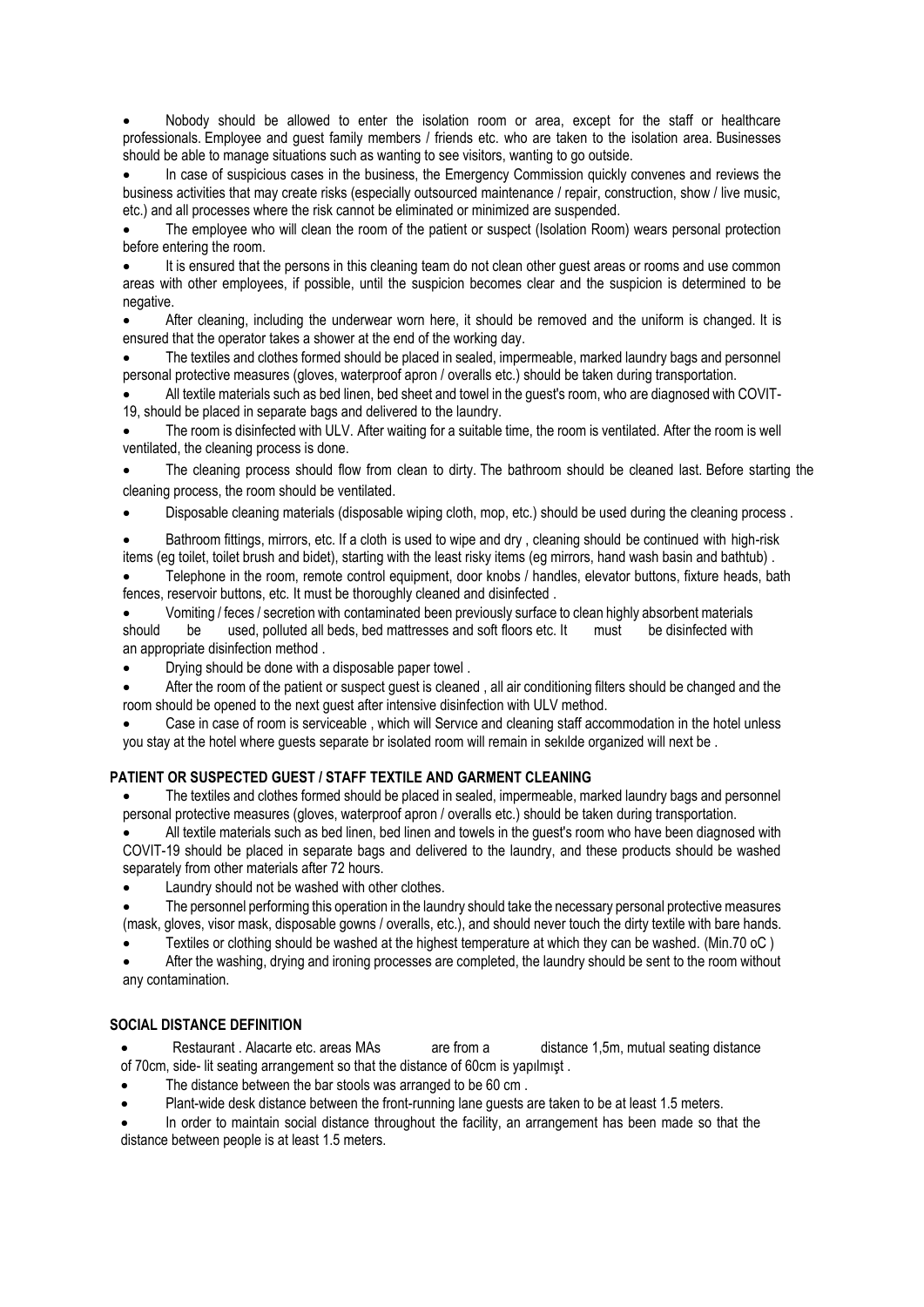• Nobody should be allowed to enter the isolation room or area, except for the staff or healthcare professionals. Employee and guest family members / friends etc. who are taken to the isolation area. Businesses should be able to manage situations such as wanting to see visitors, wanting to go outside.

• In case of suspicious cases in the business, the Emergency Commission quickly convenes and reviews the business activities that may create risks (especially outsourced maintenance / repair, construction, show / live music, etc.) and all processes where the risk cannot be eliminated or minimized are suspended.

The employee who will clean the room of the patient or suspect (Isolation Room) wears personal protection before entering the room.

It is ensured that the persons in this cleaning team do not clean other quest areas or rooms and use common areas with other employees, if possible, until the suspicion becomes clear and the suspicion is determined to be negative.

• After cleaning, including the underwear worn here, it should be removed and the uniform is changed. It is ensured that the operator takes a shower at the end of the working day.

• The textiles and clothes formed should be placed in sealed, impermeable, marked laundry bags and personnel personal protective measures (gloves, waterproof apron / overalls etc.) should be taken during transportation.

• All textile materials such as bed linen, bed sheet and towel in the guest's room, who are diagnosed with COVIT-19, should be placed in separate bags and delivered to the laundry.

• The room is disinfected with ULV. After waiting for a suitable time, the room is ventilated. After the room is well ventilated, the cleaning process is done.

The cleaning process should flow from clean to dirty. The bathroom should be cleaned last. Before starting the cleaning process, the room should be ventilated.

• Disposable cleaning materials (disposable wiping cloth, mop, etc.) should be used during the cleaning process .

• Bathroom fittings, mirrors, etc. If a cloth is used to wipe and dry , cleaning should be continued with high-risk items (eg toilet, toilet brush and bidet), starting with the least risky items (eg mirrors, hand wash basin and bathtub) .

• Telephone in the room, remote control equipment, door knobs / handles, elevator buttons, fixture heads, bath fences, reservoir buttons, etc. It must be thoroughly cleaned and disinfected .

• Vomiting / feces / secretion with contaminated been previously surface to clean highly absorbent materials should be used, polluted all beds, bed mattresses and soft floors etc. It must be disinfected with an appropriate disinfection method .

• Drying should be done with a disposable paper towel .

• After the room of the patient or suspect guest is cleaned , all air conditioning filters should be changed and the room should be opened to the next guest after intensive disinfection with ULV method.

• Case in case of room is serviceable , which will Servıce and cleaning staff accommodation in the hotel unless you stay at the hotel where guests separate br isolated room will remain in sekılde organized will next be .

#### **PATIENT OR SUSPECTED GUEST / STAFF TEXTILE AND GARMENT CLEANING**

• The textiles and clothes formed should be placed in sealed, impermeable, marked laundry bags and personnel personal protective measures (gloves, waterproof apron / overalls etc.) should be taken during transportation.

• All textile materials such as bed linen, bed linen and towels in the guest's room who have been diagnosed with COVIT-19 should be placed in separate bags and delivered to the laundry, and these products should be washed separately from other materials after 72 hours.

Laundry should not be washed with other clothes.

• The personnel performing this operation in the laundry should take the necessary personal protective measures (mask, gloves, visor mask, disposable gowns / overalls, etc.), and should never touch the dirty textile with bare hands.

• Textiles or clothing should be washed at the highest temperature at which they can be washed. (Min.70 oC )

• After the washing, drying and ironing processes are completed, the laundry should be sent to the room without any contamination.

#### **SOCIAL DISTANCE DEFINITION**

• Restaurant . Alacarte etc. areas MAs are from a distance 1,5m, mutual seating distance of 70cm, side- lit seating arrangement so that the distance of 60cm is yapılmışt .

- The distance between the bar stools was arranged to be 60 cm.
- Plant-wide desk distance between the front-running lane guests are taken to be at least 1.5 meters.

• In order to maintain social distance throughout the facility, an arrangement has been made so that the distance between people is at least 1.5 meters.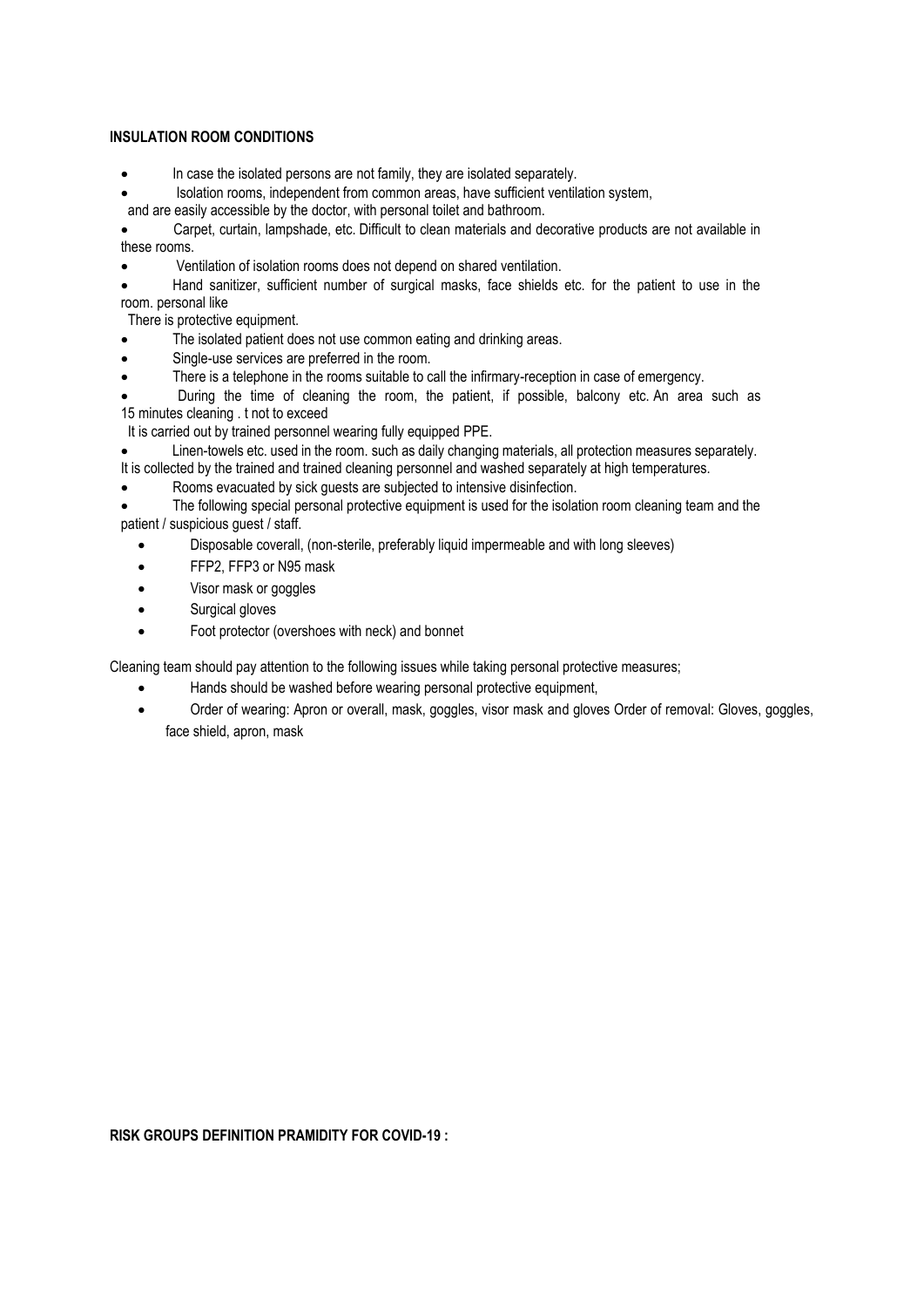### **INSULATION ROOM CONDITIONS**

- In case the isolated persons are not family, they are isolated separately.
- Isolation rooms, independent from common areas, have sufficient ventilation system,
- and are easily accessible by the doctor, with personal toilet and bathroom.

• Carpet, curtain, lampshade, etc. Difficult to clean materials and decorative products are not available in these rooms.

• Ventilation of isolation rooms does not depend on shared ventilation.

• Hand sanitizer, sufficient number of surgical masks, face shields etc. for the patient to use in the room. personal like

There is protective equipment.

- The isolated patient does not use common eating and drinking areas.
- Single-use services are preferred in the room.
- There is a telephone in the rooms suitable to call the infirmary-reception in case of emergency.
- During the time of cleaning the room, the patient, if possible, balcony etc. An area such as 15 minutes cleaning . t not to exceed

It is carried out by trained personnel wearing fully equipped PPE.

- Linen-towels etc. used in the room. such as daily changing materials, all protection measures separately.
- It is collected by the trained and trained cleaning personnel and washed separately at high temperatures.
- Rooms evacuated by sick quests are subjected to intensive disinfection.

The following special personal protective equipment is used for the isolation room cleaning team and the patient / suspicious guest / staff.

- Disposable coverall, (non-sterile, preferably liquid impermeable and with long sleeves)
- FFP2, FFP3 or N95 mask
- Visor mask or goggles
- Surgical gloves
- Foot protector (overshoes with neck) and bonnet

Cleaning team should pay attention to the following issues while taking personal protective measures;

- Hands should be washed before wearing personal protective equipment,
- Order of wearing: Apron or overall, mask, goggles, visor mask and gloves Order of removal: Gloves, goggles, face shield, apron, mask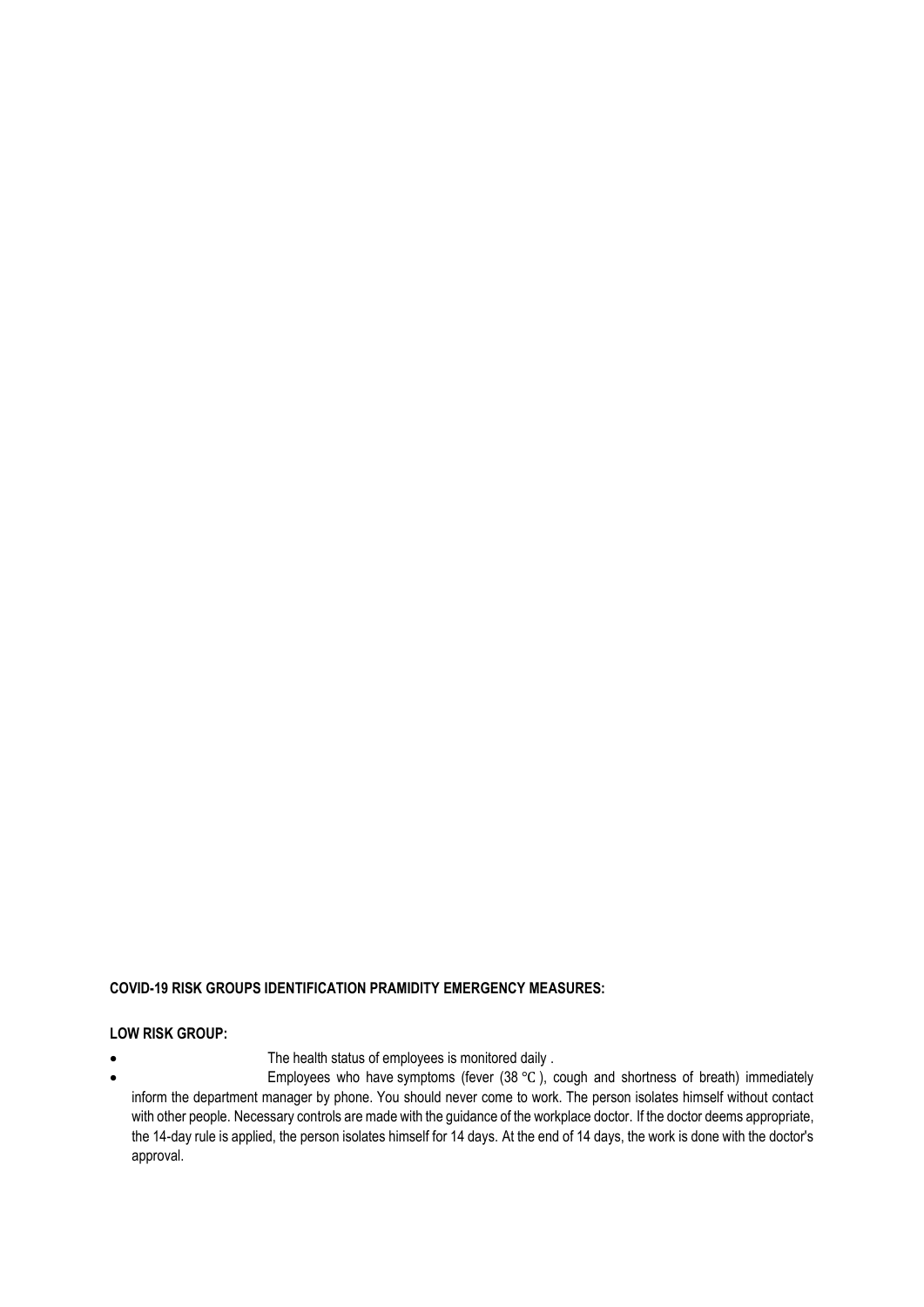# **COVID-19 RISK GROUPS IDENTIFICATION PRAMIDITY EMERGENCY MEASURES:**

### **LOW RISK GROUP:**

- The health status of employees is monitored daily .
- Employees who have symptoms (fever (38 ℃ ), cough and shortness of breath) immediately inform the department manager by phone. You should never come to work. The person isolates himself without contact with other people. Necessary controls are made with the guidance of the workplace doctor. If the doctor deems appropriate, the 14-day rule is applied, the person isolates himself for 14 days. At the end of 14 days, the work is done with the doctor's approval.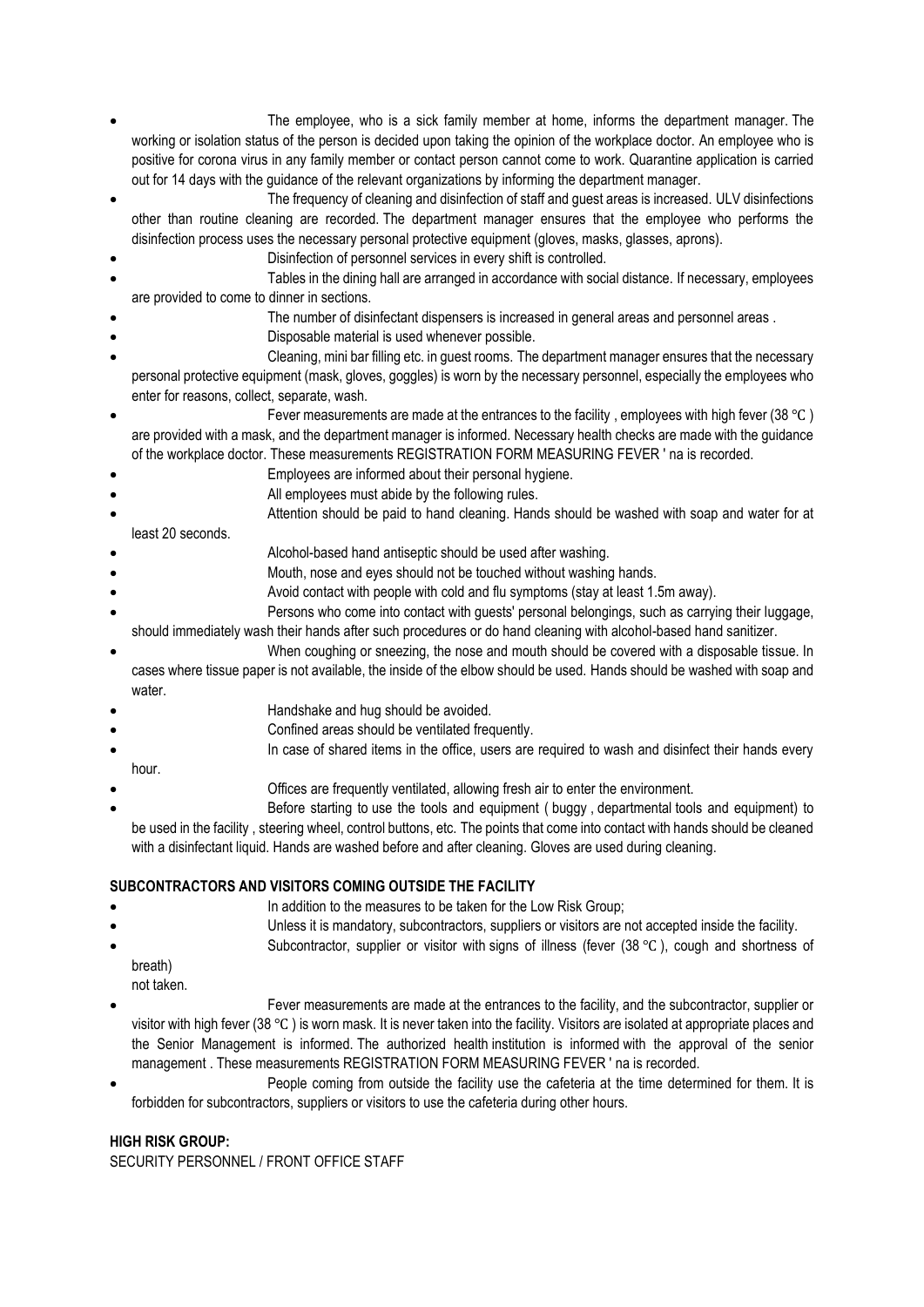- The employee, who is a sick family member at home, informs the department manager. The working or isolation status of the person is decided upon taking the opinion of the workplace doctor. An employee who is positive for corona virus in any family member or contact person cannot come to work. Quarantine application is carried out for 14 days with the guidance of the relevant organizations by informing the department manager.
- The frequency of cleaning and disinfection of staff and guest areas is increased. ULV disinfections other than routine cleaning are recorded. The department manager ensures that the employee who performs the disinfection process uses the necessary personal protective equipment (gloves, masks, glasses, aprons).
- Disinfection of personnel services in every shift is controlled.
- Tables in the dining hall are arranged in accordance with social distance. If necessary, employees are provided to come to dinner in sections.
- The number of disinfectant dispensers is increased in general areas and personnel areas.
- Disposable material is used whenever possible.
- Cleaning, mini bar filling etc. in guest rooms. The department manager ensures that the necessary personal protective equipment (mask, gloves, goggles) is worn by the necessary personnel, especially the employees who enter for reasons, collect, separate, wash.
- Fever measurements are made at the entrances to the facility, employees with high fever (38 °C) are provided with a mask, and the department manager is informed. Necessary health checks are made with the guidance of the workplace doctor. These measurements REGISTRATION FORM MEASURING FEVER ' na is recorded.
- Employees are informed about their personal hygiene.
- All employees must abide by the following rules.
- Attention should be paid to hand cleaning. Hands should be washed with soap and water for at least 20 seconds.
- Alcohol-based hand antiseptic should be used after washing.
- Mouth, nose and eyes should not be touched without washing hands.
- Avoid contact with people with cold and flu symptoms (stay at least 1.5m away).
- Persons who come into contact with guests' personal belongings, such as carrying their luggage, should immediately wash their hands after such procedures or do hand cleaning with alcohol-based hand sanitizer.
	- When coughing or sneezing, the nose and mouth should be covered with a disposable tissue. In
- cases where tissue paper is not available, the inside of the elbow should be used. Hands should be washed with soap and water.
- Handshake and hug should be avoided.
- Confined areas should be ventilated frequently.
- In case of shared items in the office, users are required to wash and disinfect their hands every hour.
- Offices are frequently ventilated, allowing fresh air to enter the environment.
- Before starting to use the tools and equipment ( buggy , departmental tools and equipment) to be used in the facility , steering wheel, control buttons, etc. The points that come into contact with hands should be cleaned with a disinfectant liquid. Hands are washed before and after cleaning. Gloves are used during cleaning.

# **SUBCONTRACTORS AND VISITORS COMING OUTSIDE THE FACILITY**

- In addition to the measures to be taken for the Low Risk Group;
	- Unless it is mandatory, subcontractors, suppliers or visitors are not accepted inside the facility.
- Subcontractor, supplier or visitor with signs of illness (fever  $(38 \degree C)$ , cough and shortness of breath)
- not taken.
- Fever measurements are made at the entrances to the facility, and the subcontractor, supplier or visitor with high fever (38 ℃ ) is worn mask. It is never taken into the facility. Visitors are isolated at appropriate places and the Senior Management is informed. The authorized health institution is informed with the approval of the senior management . These measurements REGISTRATION FORM MEASURING FEVER ' na is recorded.
- People coming from outside the facility use the cafeteria at the time determined for them. It is forbidden for subcontractors, suppliers or visitors to use the cafeteria during other hours.

# **HIGH RISK GROUP:**

SECURITY PERSONNEL / FRONT OFFICE STAFF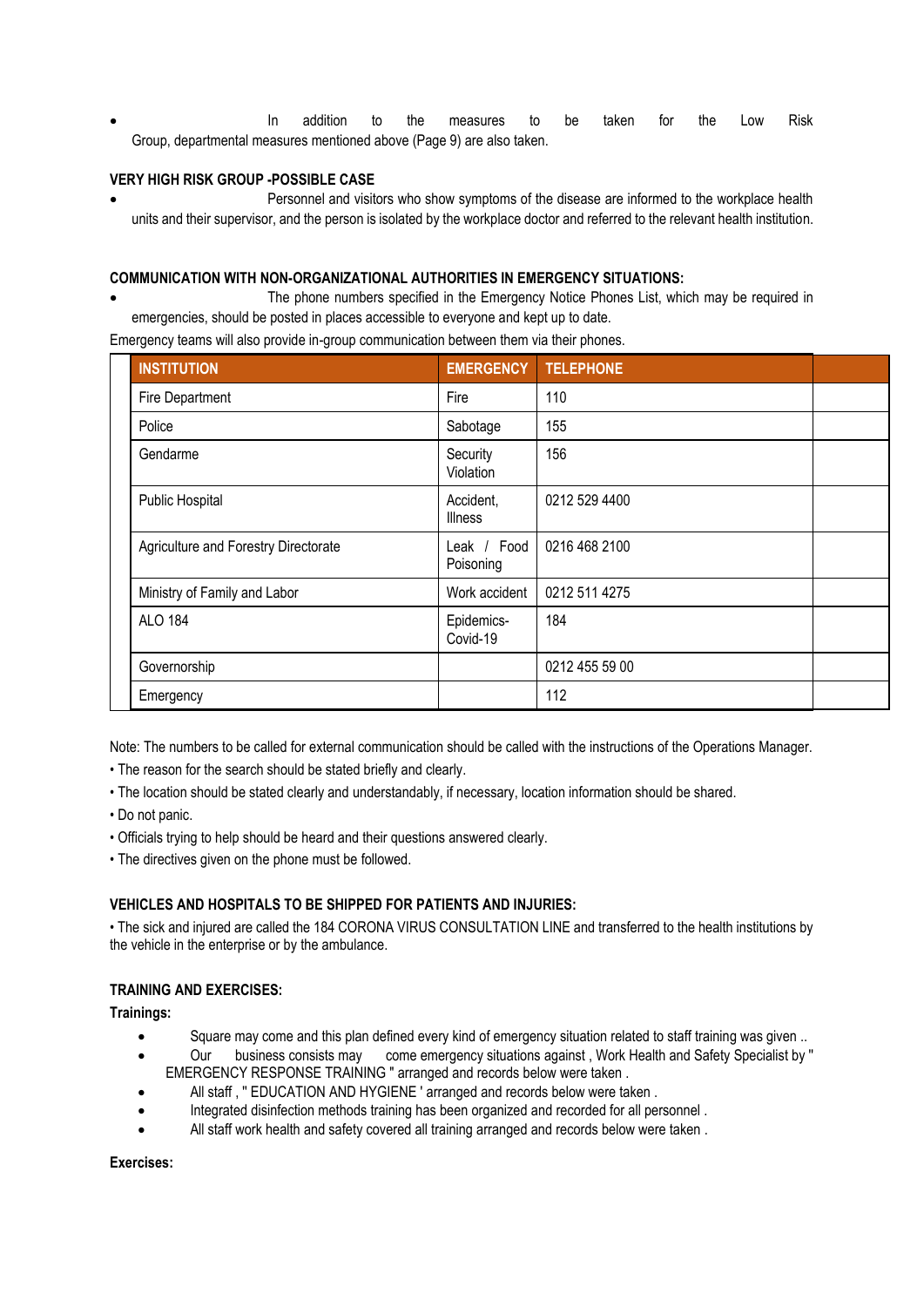• In addition to the measures to be taken for the Low Risk Group, departmental measures mentioned above (Page 9) are also taken.

### **VERY HIGH RISK GROUP -POSSIBLE CASE**

• Personnel and visitors who show symptoms of the disease are informed to the workplace health units and their supervisor, and the person is isolated by the workplace doctor and referred to the relevant health institution.

### **COMMUNICATION WITH NON-ORGANIZATIONAL AUTHORITIES IN EMERGENCY SITUATIONS:**

• The phone numbers specified in the Emergency Notice Phones List, which may be required in emergencies, should be posted in places accessible to everyone and kept up to date.

Emergency teams will also provide in-group communication between them via their phones.

| <b>INSTITUTION</b>                   | <b>EMERGENCY</b>            | <b>TELEPHONE</b> |  |
|--------------------------------------|-----------------------------|------------------|--|
| Fire Department                      | Fire                        | 110              |  |
| Police                               | Sabotage                    | 155              |  |
| Gendarme                             | Security<br>Violation       | 156              |  |
| Public Hospital                      | Accident,<br><b>Illness</b> | 0212 529 4400    |  |
| Agriculture and Forestry Directorate | Leak / Food<br>Poisoning    | 0216 468 2100    |  |
| Ministry of Family and Labor         | Work accident               | 0212 511 4275    |  |
| <b>ALO 184</b>                       | Epidemics-<br>Covid-19      | 184              |  |
| Governorship                         |                             | 0212 455 59 00   |  |
| Emergency                            |                             | 112              |  |

Note: The numbers to be called for external communication should be called with the instructions of the Operations Manager.

- The reason for the search should be stated briefly and clearly.
- The location should be stated clearly and understandably, if necessary, location information should be shared.
- Do not panic.
- Officials trying to help should be heard and their questions answered clearly.
- The directives given on the phone must be followed.

### **VEHICLES AND HOSPITALS TO BE SHIPPED FOR PATIENTS AND INJURIES:**

• The sick and injured are called the 184 CORONA VIRUS CONSULTATION LINE and transferred to the health institutions by the vehicle in the enterprise or by the ambulance.

### **TRAINING AND EXERCISES:**

**Trainings:**

- Square may come and this plan defined every kind of emergency situation related to staff training was given ..
- Our business consists may come emergency situations against , Work Health and Safety Specialist by '' EMERGENCY RESPONSE TRAINING " arranged and records below were taken .
- All staff, "EDUCATION AND HYGIENE ' arranged and records below were taken.
- Integrated disinfection methods training has been organized and recorded for all personnel .
- All staff work health and safety covered all training arranged and records below were taken .

**Exercises:**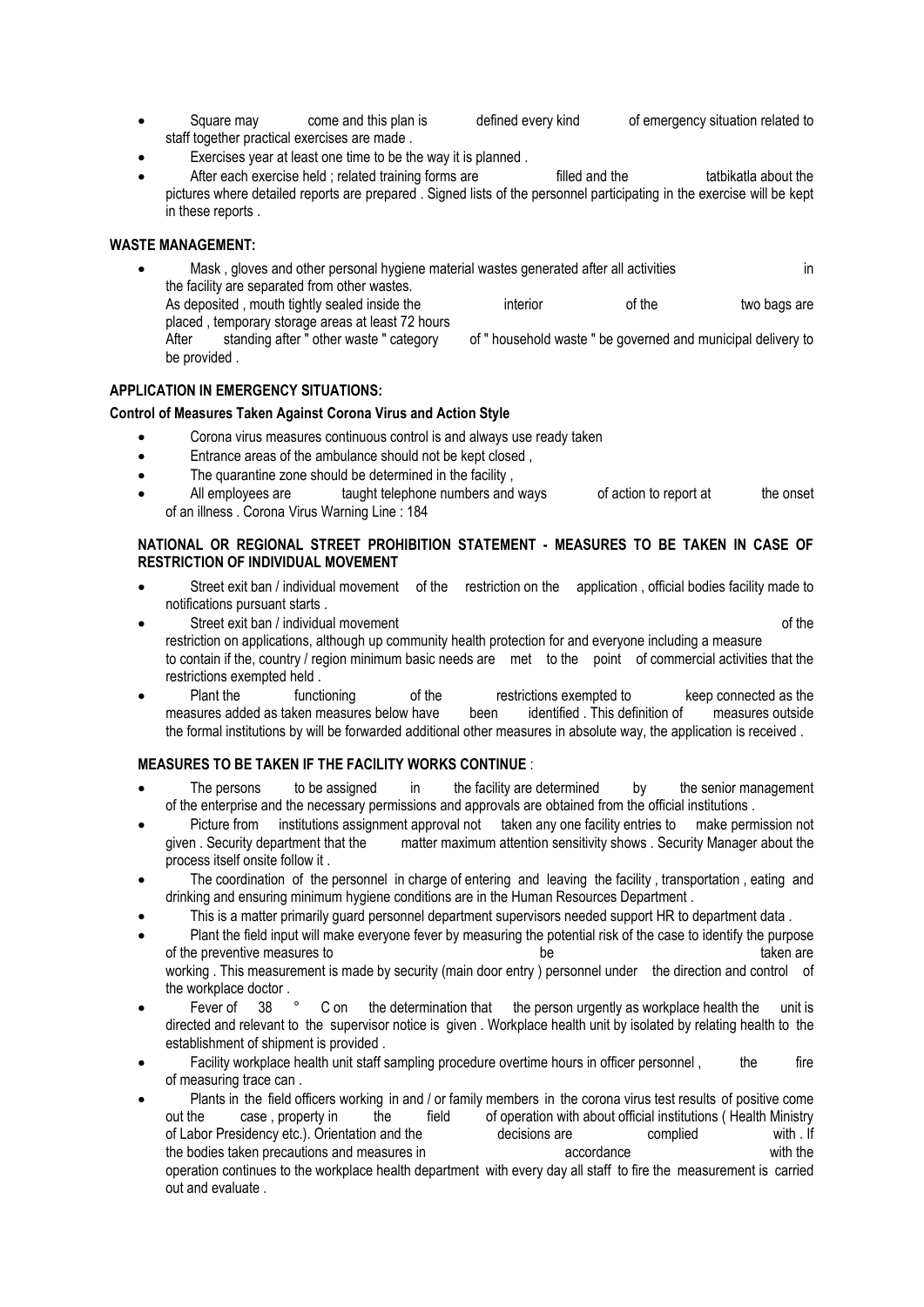- Square may come and this plan is defined every kind of emergency situation related to staff together practical exercises are made .
- Exercises year at least one time to be the way it is planned.
- After each exercise held ; related training forms are filled and the tatbikatla about the pictures where detailed reports are prepared . Signed lists of the personnel participating in the exercise will be kept in these reports .

### **WASTE MANAGEMENT:**

Mask, gloves and other personal hygiene material wastes generated after all activities in in the facility are separated from other wastes. As deposited , mouth tightly sealed inside the interior of the two bags are placed , temporary storage areas at least 72 hours After standing after " other waste " category of " household waste " be governed and municipal delivery to be provided .

### **APPLICATION IN EMERGENCY SITUATIONS:**

### **Control of Measures Taken Against Corona Virus and Action Style**

- Corona virus measures continuous control is and always use ready taken
- Entrance areas of the ambulance should not be kept closed ,
- The quarantine zone should be determined in the facility,
- All employees are taught telephone numbers and ways of action to report at the onset of an illness . Corona Virus Warning Line : 184

### **NATIONAL OR REGIONAL STREET PROHIBITION STATEMENT - MEASURES TO BE TAKEN IN CASE OF RESTRICTION OF INDIVIDUAL MOVEMENT**

- Street exit ban / individual movement of the restriction on the application , official bodies facility made to notifications pursuant starts .
- Street exit ban / individual movement of the street exit ban / individual movement restriction on applications, although up community health protection for and everyone including a measure to contain if the, country / region minimum basic needs are met to the point of commercial activities that the restrictions exempted held .
- Plant the functioning of the restrictions exempted to keep connected as the restrictions exempted to keep connected as the results in the sures added as taken measures below have been identified. This definition of measure measures added as taken measures below have been identified . This definition of measures outside the formal institutions by will be forwarded additional other measures in absolute way, the application is received .

### **MEASURES TO BE TAKEN IF THE FACILITY WORKS CONTINUE** :

- The persons to be assigned in the facility are determined by the senior management of the enterprise and the necessary permissions and approvals are obtained from the official institutions .
- Picture from institutions assignment approval not taken any one facility entries to make permission not given . Security department that the matter maximum attention sensitivity shows . Security Manager about the process itself onsite follow it .
- The coordination of the personnel in charge of entering and leaving the facility, transportation, eating and drinking and ensuring minimum hygiene conditions are in the Human Resources Department .
- This is a matter primarily guard personnel department supervisors needed support HR to department data .
- Plant the field input will make everyone fever by measuring the potential risk of the case to identify the purpose of the preventive measures to the preventive measures to the taken are taken are taken are taken are taken are working . This measurement is made by security (main door entry) personnel under the direction and control of the workplace doctor .
- Fever of 38 ° C on the determination that the person urgently as workplace health the unit is directed and relevant to the supervisor notice is given . Workplace health unit by isolated by relating health to the establishment of shipment is provided .
- Facility workplace health unit staff sampling procedure overtime hours in officer personnel , the fire of measuring trace can .
- Plants in the field officers working in and / or family members in the corona virus test results of positive come out the case , property in the field of operation with about official institutions ( Health Ministry of Labor Presidency etc.). Orientation and the decisions are complied with . If the bodies taken precautions and measures in accordance accordance with the vith the operation continues to the workplace health department with every day all staff to fire the measurement is carried out and evaluate .